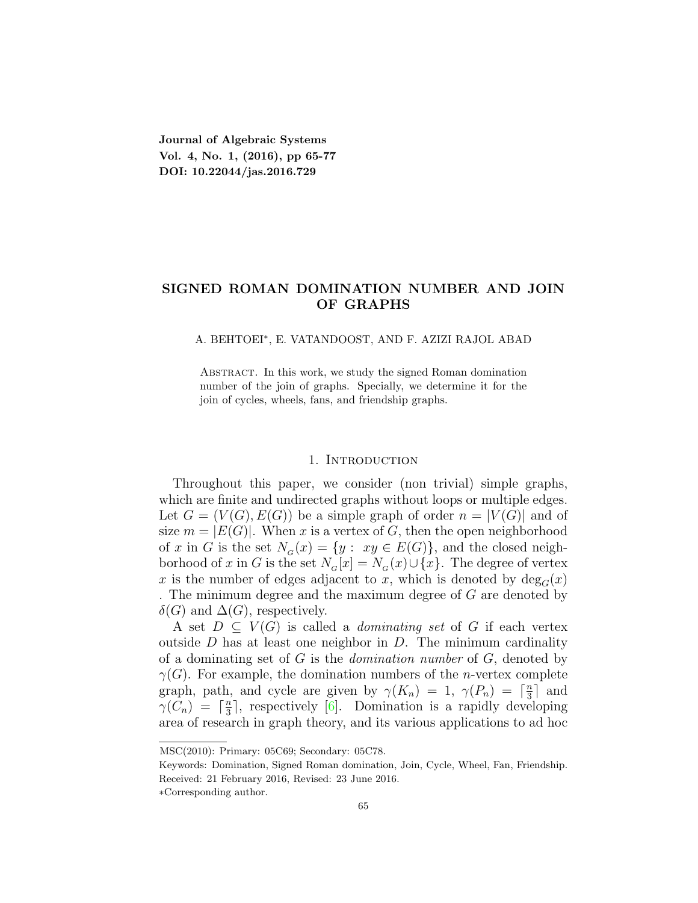**Journal of Algebraic Systems Vol. 4, No. 1, (2016), pp 65-77 DOI: 10.22044/jas.2016.729**

## **SIGNED ROMAN DOMINATION NUMBER AND JOIN OF GRAPHS**

#### A. BEHTOEI*<sup>∗</sup>* , E. VATANDOOST, AND F. AZIZI RAJOL ABAD

ABSTRACT. In this work, we study the signed Roman domination number of the join of graphs. Specially, we determine it for the join of cycles, wheels, fans, and friendship graphs.

#### 1. INTRODUCTION

Throughout this paper, we consider (non trivial) simple graphs, which are finite and undirected graphs without loops or multiple edges. Let  $G = (V(G), E(G))$  be a simple graph of order  $n = |V(G)|$  and of size  $m = |E(G)|$ . When *x* is a vertex of *G*, then the open neighborhood of *x* in *G* is the set  $N_G(x) = \{y : xy \in E(G)\}$ , and the closed neighborhood of *x* in *G* is the set  $N_G[x] = N_G(x) \cup \{x\}$ . The degree of vertex x is the number of edges adjacent to x, which is denoted by  $deg_G(x)$ . The minimum degree and the maximum degree of *G* are denoted by  $\delta(G)$  and  $\Delta(G)$ , respectively.

A set  $D \subseteq V(G)$  is called a *dominating set* of G if each vertex outside *D* has at least one neighbor in *D*. The minimum cardinality of a dominating set of *G* is the *domination number* of *G*, denoted by *γ*(*G*). For example, the domination numbers of the *n*-vertex complete graph, path, and cycle are given by  $\gamma(K_n) = 1, \gamma(P_n) = \lceil \frac{n}{3} \rceil$  $\frac{n}{3}$  and  $\gamma(C_n) = \lceil \frac{n}{3} \rceil$  $\frac{n}{3}$ , respectively [[6\]](#page-12-0). Domination is a rapidly developing area of research in graph theory, and its various applications to ad hoc

MSC(2010): Primary: 05C69; Secondary: 05C78.

Keywords: Domination, Signed Roman domination, Join, Cycle, Wheel, Fan, Friendship. Received: 21 February 2016, Revised: 23 June 2016.

*<sup>∗</sup>*Corresponding author.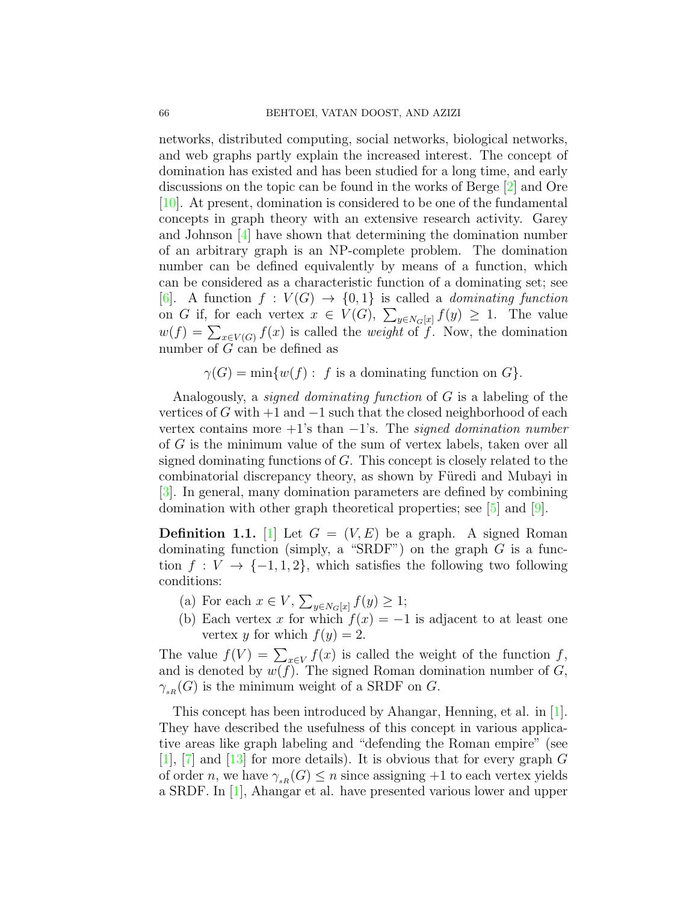networks, distributed computing, social networks, biological networks, and web graphs partly explain the increased interest. The concept of domination has existed and has been studied for a long time, and early discussions on the topic can be found in the works of Berge [[2\]](#page-12-1) and Ore [[10](#page-12-2)]. At present, domination is considered to be one of the fundamental concepts in graph theory with an extensive research activity. Garey and Johnson  $[4]$  $[4]$  have shown that determining the domination number of an arbitrary graph is an NP-complete problem. The domination number can be defined equivalently by means of a function, which can be considered as a characteristic function of a dominating set; see [[6\]](#page-12-0). A function  $f: V(G) \rightarrow \{0,1\}$  is called a *dominating function* on *G* if, for each vertex  $x \in V(G)$ ,  $\sum_{y \in N_G[x]} f(y) \geq 1$ . The value  $w(f) = \sum_{x \in V(G)} f(x)$  is called the *weight* of *f*. Now, the domination number of *G* can be defined as

 $\gamma(G) = \min\{w(f): f \text{ is a dominating function on } G\}.$ 

Analogously, a *signed dominating function* of *G* is a labeling of the vertices of *G* with +1 and *−*1 such that the closed neighborhood of each vertex contains more +1's than *−*1's. The *signed domination number* of *G* is the minimum value of the sum of vertex labels, taken over all signed dominating functions of *G*. This concept is closely related to the combinatorial discrepancy theory, as shown by Füredi and Mubayi in [[3\]](#page-12-4). In general, many domination parameters are defined by combining domination with other graph theoretical properties; see [[5\]](#page-12-5) and [\[9\]](#page-12-6).

**Definition 1.1.** [\[1\]](#page-12-7) Let  $G = (V, E)$  be a graph. A signed Roman dominating function (simply, a "SRDF") on the graph *G* is a function  $f: V \to \{-1, 1, 2\}$ , which satisfies the following two following conditions:

- $\sum_{y \in N_G[x]} f(y) \geq 1;$
- (b) Each vertex *x* for which  $f(x) = -1$  is adjacent to at least one vertex *y* for which  $f(y) = 2$ .

The value  $f(V) = \sum_{x \in V} f(x)$  is called the weight of the function  $f$ , and is denoted by  $w(f)$ . The signed Roman domination number of  $G$ ,  $\gamma_{sR}(G)$  is the minimum weight of a SRDF on *G*.

This concept has been introduced by Ahangar, Henning, et al. in [[1\]](#page-12-7). They have described the usefulness of this concept in various applicative areas like graph labeling and "defending the Roman empire" (see [[1\]](#page-12-7), [\[7](#page-12-8)] and [[13](#page-12-9)] for more details). It is obvious that for every graph *G* of order *n*, we have  $\gamma_{sR}(G) \leq n$  since assigning +1 to each vertex yields a SRDF. In [[1](#page-12-7)], Ahangar et al. have presented various lower and upper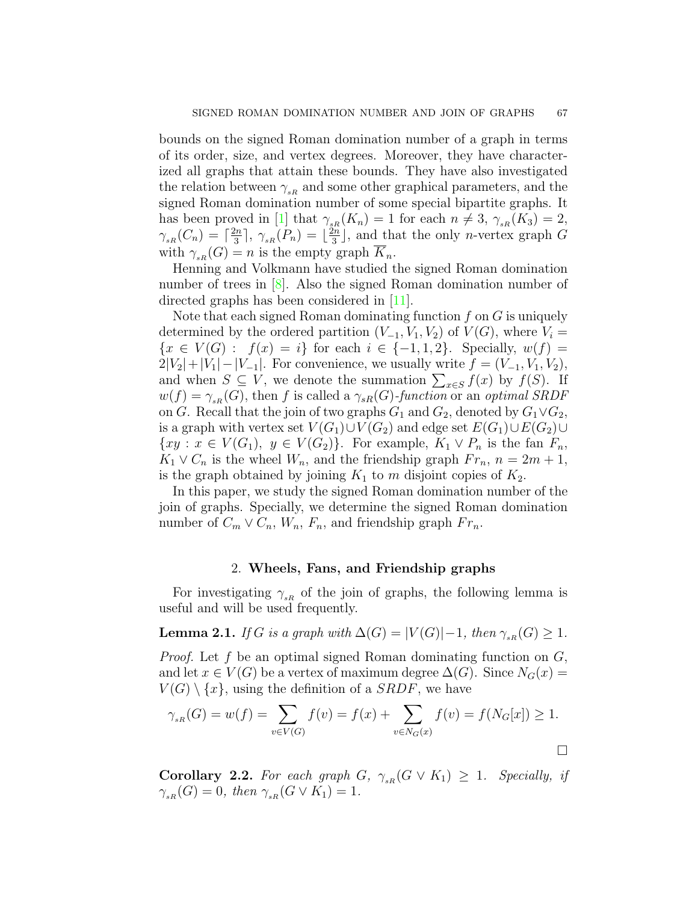bounds on the signed Roman domination number of a graph in terms of its order, size, and vertex degrees. Moreover, they have characterized all graphs that attain these bounds. They have also investigated the relation between  $\gamma_{sR}$  and some other graphical parameters, and the signed Roman domination number of some special bipartite graphs. It has been proved in [\[1\]](#page-12-7) that  $\gamma_{sR}(K_n) = 1$  for each  $n \neq 3$ ,  $\gamma_{sR}(K_3) = 2$ ,  $\gamma_{sR}(C_n) = \lceil \frac{2n}{3} \rceil$  $\frac{2n}{3}$ ],  $\gamma_{sR}(P_n) = \frac{2n}{3}$  $\frac{2n}{3}$ , and that the only *n*-vertex graph *G* with  $\gamma_{sR}(G) = n$  is the empty graph  $K_n$ .

Henning and Volkmann have studied the signed Roman domination number of trees in [\[8](#page-12-10)]. Also the signed Roman domination number of directed graphs has been considered in [[11\]](#page-12-11).

Note that each signed Roman dominating function *f* on *G* is uniquely determined by the ordered partition  $(V_{-1}, V_1, V_2)$  of  $V(G)$ , where  $V_i$ *{x* ∈ *V*(*G*) : *f*(*x*) = *i}* for each *i* ∈ {−1*,* 1*,* 2*}*. Specially, *w*(*f*) =  $2|V_2| + |V_1| - |V_{-1}|$ . For convenience, we usually write  $f = (V_{-1}, V_1, V_2)$ , and when  $S \subseteq V$ , we denote the summation  $\sum_{x \in S} f(x)$  by  $f(S)$ . If  $w(f) = \gamma_{sR}(G)$ , then *f* is called a  $\gamma_{sR}(G)$ *-function* or an *optimal SRDF* on *G*. Recall that the join of two graphs  $G_1$  and  $G_2$ , denoted by  $G_1 \vee G_2$ , is a graph with vertex set  $V(G_1) \cup V(G_2)$  and edge set  $E(G_1) \cup E(G_2) \cup$ *{xy ∶ x*  $\in V(G_1)$ *, y*  $\in V(G_2)$ *}*. For example,  $K_1 \vee P_n$  is the fan  $F_n$ *,*  $K_1 \vee C_n$  is the wheel  $W_n$ , and the friendship graph  $Fr_n$ ,  $n = 2m + 1$ , is the graph obtained by joining  $K_1$  to  $m$  disjoint copies of  $K_2$ .

In this paper, we study the signed Roman domination number of the join of graphs. Specially, we determine the signed Roman domination number of  $C_m \vee C_n$ ,  $W_n$ ,  $F_n$ , and friendship graph  $Fr_n$ .

## 2. **Wheels, Fans, and Friendship graphs**

For investigating  $\gamma_{sR}$  of the join of graphs, the following lemma is useful and will be used frequently.

<span id="page-2-0"></span>**Lemma 2.1.** *If G is a graph with*  $\Delta(G) = |V(G)| - 1$ *, then*  $\gamma_{sR}(G) \geq 1$ *.* 

*Proof.* Let *f* be an optimal signed Roman dominating function on *G*, and let  $x \in V(G)$  be a vertex of maximum degree  $\Delta(G)$ . Since  $N_G(x)$  $V(G) \setminus \{x\}$ , using the definition of a *SRDF*, we have

$$
\gamma_{sR}(G) = w(f) = \sum_{v \in V(G)} f(v) = f(x) + \sum_{v \in N_G(x)} f(v) = f(N_G[x]) \ge 1.
$$

**Corollary 2.2.** For each graph  $G$ ,  $\gamma_{sR}(G \vee K_1) \geq 1$ . Specially, if  $\gamma_{sR}(G) = 0$ *, then*  $\gamma_{sR}(G \vee K_1) = 1$ *.*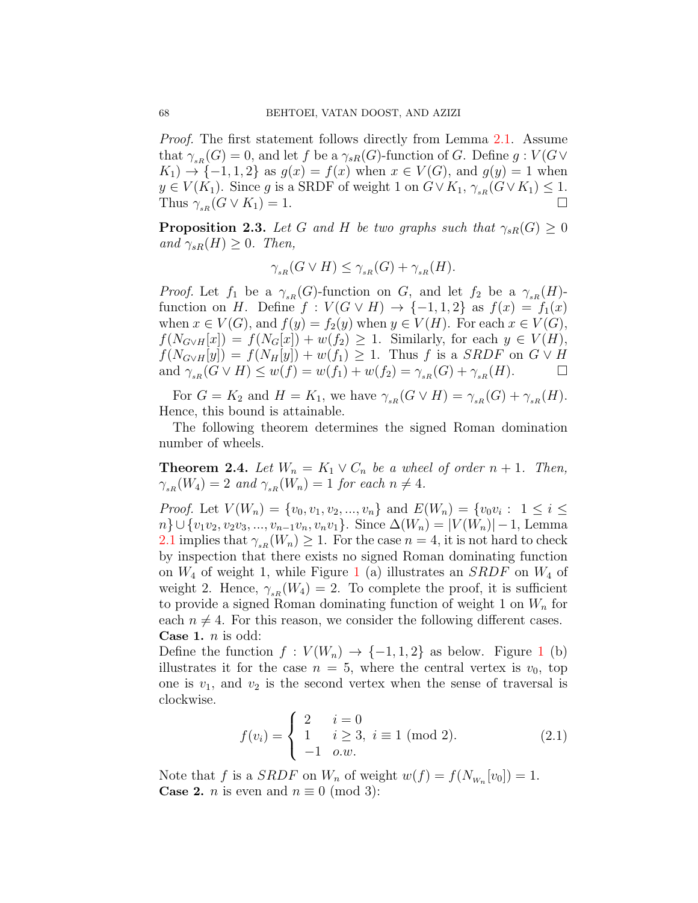*Proof.* The first statement follows directly from Lemma [2.1](#page-2-0). Assume that  $\gamma_{sR}(G) = 0$ , and let f be a  $\gamma_{sR}(G)$ -function of G. Define  $g: V(G \vee$ *K*<sub>1</sub>) → {−1, 1, 2} as  $g(x) = f(x)$  when  $x \in V(G)$ , and  $g(y) = 1$  when  $y \in V(K_1)$ . Since *g* is a SRDF of weight 1 on  $G \vee K_1$ ,  $\gamma_{sR}(G \vee K_1) \leq 1$ . Thus  $\gamma_{sR}(G \vee K_1) = 1$ .

**Proposition 2.3.** *Let G and H be two graphs such that*  $\gamma_{sR}(G) \geq 0$  $and \gamma_{sR}(H) \geq 0$ *. Then,* 

$$
\gamma_{sR}(G \vee H) \leq \gamma_{sR}(G) + \gamma_{sR}(H).
$$

*Proof.* Let  $f_1$  be a  $\gamma_{sR}(G)$ -function on *G*, and let  $f_2$  be a  $\gamma_{sR}(H)$ function on *H*. Define  $f: V(G \vee H) \rightarrow \{-1, 1, 2\}$  as  $f(x) = f_1(x)$ when  $x \in V(G)$ , and  $f(y) = f_2(y)$  when  $y \in V(H)$ . For each  $x \in V(G)$ ,  $f(N_{G \vee H}[x]) = f(N_G[x]) + w(f_2) \geq 1$ . Similarly, for each  $y \in V(H)$ ,  $f(N_{G \vee H}[y]) = f(N_H[y]) + w(f_1) \ge 1$ . Thus *f* is a *SRDF* on  $G \vee H$  and  $\gamma_{n}(G \vee H) \le w(f) = w(f_1) + w(f_2) = \gamma_{n}(G) + \gamma_{n}(H)$ . and  $\gamma_{sR}(G \vee H) \leq w(f) = w(f_1) + w(f_2) = \gamma_{sR}(G) + \gamma_{sR}(H)$ .

For  $G = K_2$  and  $H = K_1$ , we have  $\gamma_{sR}(G \vee H) = \gamma_{sR}(G) + \gamma_{sR}(H)$ . Hence, this bound is attainable.

The following theorem determines the signed Roman domination number of wheels.

<span id="page-3-0"></span>**Theorem 2.4.** *Let*  $W_n = K_1 \vee C_n$  *be a wheel of order*  $n + 1$ *. Then,*  $\gamma_{sR}(W_4) = 2$  *and*  $\gamma_{sR}(W_n) = 1$  *for each*  $n \neq 4$ *.* 

*Proof.* Let  $V(W_n) = \{v_0, v_1, v_2, ..., v_n\}$  and  $E(W_n) = \{v_0v_i : 1 \le i \le n\}$ *n*<sup>}</sup> ∪ {*v*<sub>1</sub>*v*<sub>2</sub>*, v*<sub>2</sub>*v*<sub>3</sub>*, ..., <i>v*<sub>*n*</sub>-1*v*<sub>*n*</sub></sub>*, v<sub>n</sub><i>v*<sub>1</sub>}. Since  $\Delta(W_n) = |V(W_n)| - 1$ , Lemma [2.1](#page-2-0) implies that  $\gamma_{sR}(W_n) \geq 1$ . For the case  $n = 4$ , it is not hard to check by inspection that there exists no signed Roman dominating function on *W*<sup>4</sup> of weight 1, while Figure [1](#page-4-0) (a) illustrates an *SRDF* on *W*<sup>4</sup> of weight 2. Hence,  $\gamma_{sR}(W_4) = 2$ . To complete the proof, it is sufficient to provide a signed Roman dominating function of weight 1 on *W<sup>n</sup>* for each  $n \neq 4$ . For this reason, we consider the following different cases. **Case 1.** *n* is odd:

Define the function  $f: V(W_n) \to \{-1, 1, 2\}$  $f: V(W_n) \to \{-1, 1, 2\}$  $f: V(W_n) \to \{-1, 1, 2\}$  as below. Figure 1 (b) illustrates it for the case  $n = 5$ , where the central vertex is  $v_0$ , top one is  $v_1$ , and  $v_2$  is the second vertex when the sense of traversal is clockwise.

<span id="page-3-1"></span>
$$
f(v_i) = \begin{cases} 2 & i = 0 \\ 1 & i \ge 3, i \equiv 1 \pmod{2} \\ -1 & o.w. \end{cases}
$$
 (2.1)

Note that *f* is a *SRDF* on  $W_n$  of weight  $w(f) = f(N_{W_n}[v_0]) = 1$ . **Case 2.** *n* is even and  $n \equiv 0 \pmod{3}$ :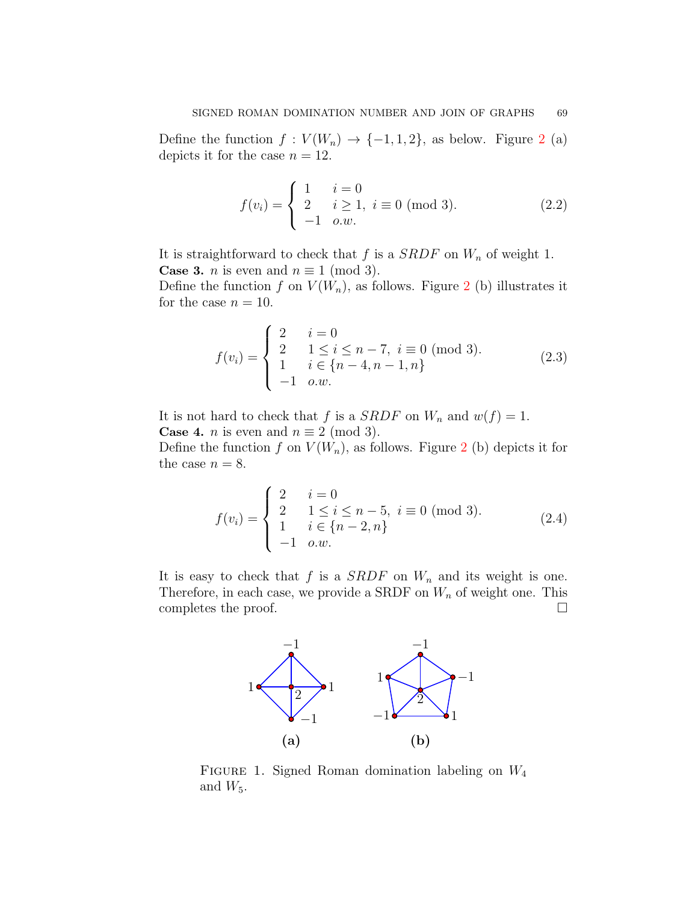Define the function  $f: V(W_n) \to \{-1, 1, 2\}$  $f: V(W_n) \to \{-1, 1, 2\}$  $f: V(W_n) \to \{-1, 1, 2\}$ , as below. Figure 2 (a) depicts it for the case  $n = 12$ .

<span id="page-4-1"></span>
$$
f(v_i) = \begin{cases} 1 & i = 0 \\ 2 & i \ge 1, i \equiv 0 \pmod{3}. \\ -1 & o.w. \end{cases}
$$
 (2.2)

It is straightforward to check that  $f$  is a *SRDF* on  $W_n$  of weight 1. **Case 3.** *n* is even and  $n \equiv 1 \pmod{3}$ .

Define the function  $f$  on  $V(W_n)$ , as follows. Figure [2](#page-5-0) (b) illustrates it for the case  $n = 10$ .

<span id="page-4-2"></span>
$$
f(v_i) = \begin{cases} 2 & i = 0 \\ 2 & 1 \le i \le n-7, i \equiv 0 \pmod{3} \\ 1 & i \in \{n-4, n-1, n\} \\ -1 & o.w. \end{cases}
$$
 (2.3)

It is not hard to check that *f* is a *SRDF* on  $W_n$  and  $w(f) = 1$ . **Case 4.** *n* is even and  $n \equiv 2 \pmod{3}$ .

Define the function  $f$  on  $V(W_n)$ , as follows. Figure [2](#page-5-0) (b) depicts it for the case  $n = 8$ .

<span id="page-4-3"></span>
$$
f(v_i) = \begin{cases} 2 & i = 0 \\ 2 & 1 \le i \le n-5, i \equiv 0 \pmod{3} \\ 1 & i \in \{n-2, n\} \\ -1 & o.w. \end{cases}
$$
 (2.4)

It is easy to check that  $f$  is a *SRDF* on  $W_n$  and its weight is one. Therefore, in each case, we provide a SRDF on *W<sup>n</sup>* of weight one. This completes the proof.  $\Box$ 



<span id="page-4-0"></span>Figure 1. Signed Roman domination labeling on *W*<sup>4</sup> and  $W_5$ .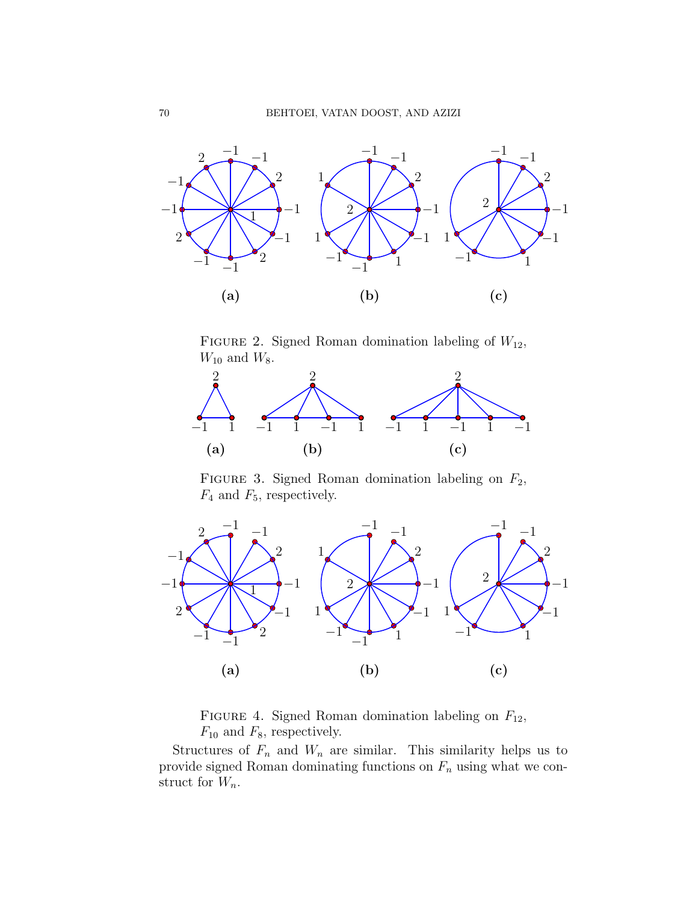

<span id="page-5-0"></span>Figure 2. Signed Roman domination labeling of *W*12,  $W_{10}$  and  $W_8$ .



<span id="page-5-1"></span>FIGURE 3. Signed Roman domination labeling on  $F_2$ , *F*<sup>4</sup> and *F*5, respectively.



<span id="page-5-2"></span>Figure 4. Signed Roman domination labeling on *F*12, *F*<sup>10</sup> and *F*8, respectively.

Structures of  $F_n$  and  $W_n$  are similar. This similarity helps us to provide signed Roman dominating functions on *F<sup>n</sup>* using what we construct for *Wn*.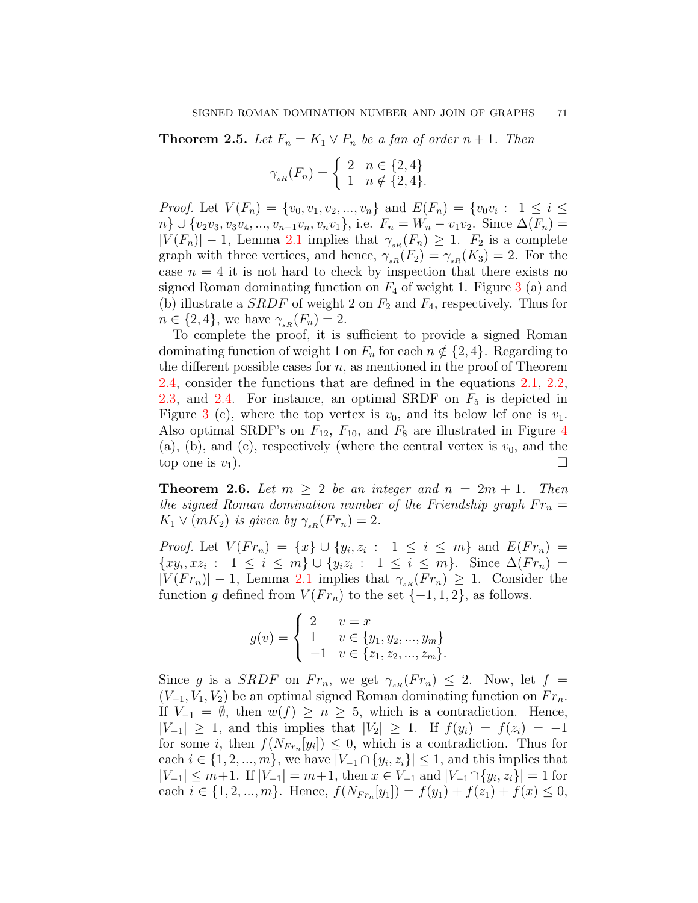**Theorem 2.5.** Let  $F_n = K_1 \vee P_n$  be a fan of order  $n + 1$ . Then

$$
\gamma_{_{sR}}(F_n) = \begin{cases} 2 & n \in \{2, 4\} \\ 1 & n \notin \{2, 4\}. \end{cases}
$$

*Proof.* Let  $V(F_n) = \{v_0, v_1, v_2, ..., v_n\}$  and  $E(F_n) = \{v_0v_i : 1 \le i \le n\}$  $n\}\cup\{v_2v_3,v_3v_4,...,v_{n-1}v_n,v_nv_1\}$ , i.e.  $F_n=W_n-v_1v_2$ . Since  $\Delta(F_n)=$  $|V(F_n)| - 1$ , Lemma [2.1](#page-2-0) implies that  $\gamma_{sR}(F_n) \geq 1$ .  $F_2$  is a complete graph with three vertices, and hence,  $\gamma_{sR}(F_2) = \gamma_{sR}(K_3) = 2$ . For the case  $n = 4$  it is not hard to check by inspection that there exists no signed Roman dominating function on  $F_4$  of weight 1. Figure [3](#page-5-1) (a) and (b) illustrate a *SRDF* of weight 2 on *F*<sup>2</sup> and *F*4, respectively. Thus for  $n \in \{2, 4\}$ , we have  $\gamma_{sR}(F_n) = 2$ .

To complete the proof, it is sufficient to provide a signed Roman dominating function of weight 1 on  $F_n$  for each  $n \notin \{2, 4\}$ . Regarding to the different possible cases for *n*, as mentioned in the proof of Theorem [2.4](#page-3-0), consider the functions that are defined in the equations [2.1,](#page-3-1) [2.2,](#page-4-1) [2.3](#page-4-2), and [2.4](#page-4-3). For instance, an optimal SRDF on  $F_5$  is depicted in Figure [3](#page-5-1) (c), where the top vertex is  $v_0$ , and its below lef one is  $v_1$ . Also optimal SRDF's on  $F_{12}$ ,  $F_{10}$ , and  $F_8$  are illustrated in Figure [4](#page-5-2) (a), (b), and (c), respectively (where the central vertex is  $v_0$ , and the top one is  $v_1$ ).

**Theorem 2.6.** Let  $m \geq 2$  be an integer and  $n = 2m + 1$ . Then *the signed Roman domination number of the Friendship graph*  $Fr_n =$  $K_1 \vee (mK_2)$  *is given by*  $\gamma_{sR}(Fr_n) = 2$ *.* 

*Proof.* Let  $V(Fr_n) = \{x\} \cup \{y_i, z_i : 1 \le i \le m\}$  and  $E(Fr_n) =$  $\{xy_i, xz_i : 1 \leq i \leq m\} \cup \{y_iz_i : 1 \leq i \leq m\}$ . Since  $\Delta(Fr_n) =$  $|V(Fr_n)| - 1$ , Lemma [2.1](#page-2-0) implies that  $\gamma_{sR}(Fr_n) \geq 1$ . Consider the function *g* defined from  $V(Fr_n)$  to the set  $\{-1, 1, 2\}$ , as follows.

$$
g(v) = \begin{cases} 2 & v = x \\ 1 & v \in \{y_1, y_2, ..., y_m\} \\ -1 & v \in \{z_1, z_2, ..., z_m\}. \end{cases}
$$

Since *g* is a *SRDF* on  $Fr_n$ , we get  $\gamma_{sR}(Fr_n) \leq 2$ . Now, let  $f =$  $(V_{-1}, V_1, V_2)$  be an optimal signed Roman dominating function on  $Fr_n$ . If *V−*<sup>1</sup> = *∅*, then *w*(*f*) *≥ n ≥* 5, which is a contradiction. Hence, *|V*<sub>−1</sub>*|* ≥ 1, and this implies that  $|V_2|$  ≥ 1. If  $f(y_i) = f(z_i) = -1$ for some *i*, then  $f(N_{Fr_n}[y_i]) \leq 0$ , which is a contradiction. Thus for each *i* ∈ {1, 2, ..., *m*}, we have  $|V_{-1} \cap \{y_i, z_i\}|$  ≤ 1, and this implies that  $|V_{-1}| \leq m+1$ . If  $|V_{-1}| = m+1$ , then  $x \in V_{-1}$  and  $|V_{-1} \cap \{y_i, z_i\}| = 1$  for each  $i \in \{1, 2, ..., m\}$ . Hence,  $f(N_{Fr_n}[y_1]) = f(y_1) + f(z_1) + f(x) \leq 0$ ,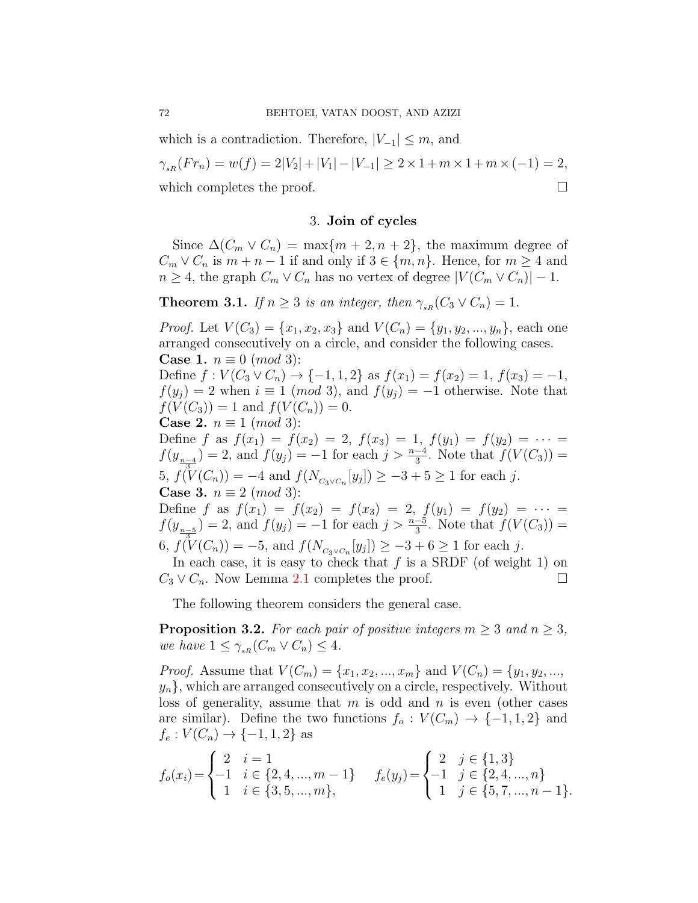which is a contradiction. Therefore,  $|V_{-1}| \leq m$ , and

 $\gamma_{\text{aR}}(Fr_n) = w(f) = 2|V_2| + |V_1| - |V_{-1}| \geq 2 \times 1 + m \times 1 + m \times (-1) = 2$ , which completes the proof.  $\Box$ 

### 3. **Join of cycles**

Since  $\Delta(C_m \vee C_n) = \max\{m+2, n+2\}$ , the maximum degree of  $C_m \vee C_n$  is  $m + n - 1$  if and only if  $3 \in \{m, n\}$ . Hence, for  $m \geq 4$  and  $n \geq 4$ , the graph  $C_m \vee C_n$  has no vertex of degree  $|V(C_m \vee C_n)| - 1$ .

**Theorem 3.1.** *If*  $n \geq 3$  *is an integer, then*  $\gamma_{sR}(C_3 \vee C_n) = 1$ *.* 

*Proof.* Let  $V(C_3) = \{x_1, x_2, x_3\}$  and  $V(C_n) = \{y_1, y_2, ..., y_n\}$ , each one arranged consecutively on a circle, and consider the following cases. **Case 1.**  $n \equiv 0 \pmod{3}$ : Define  $f: V(C_3 \vee C_n) \rightarrow \{-1, 1, 2\}$  as  $f(x_1) = f(x_2) = 1, f(x_3) = -1$ ,  $f(y_i) = 2$  when  $i \equiv 1 \pmod{3}$ , and  $f(y_i) = -1$  otherwise. Note that  $f(V(C_3)) = 1$  and  $f(V(C_n)) = 0$ . **Case 2.**  $n \equiv 1 \pmod{3}$ : Define *f* as  $f(x_1) = f(x_2) = 2$ ,  $f(x_3) = 1$ ,  $f(y_1) = f(y_2) = \cdots$  $f(y_{\frac{n-4}{2}}) = 2$ , and  $f(y_j) = -1$  for each  $j > \frac{n-4}{3}$ . Note that  $f(V(C_3)) =$ 5,  $f(V(C_n)) = -4$  and  $f(N_{C_3 \vee C_n}[y_j]) \ge -3 + 5 \ge 1$  for each *j*. **Case 3.**  $n \equiv 2 \pmod{3}$ : Define *f* as  $f(x_1) = f(x_2) = f(x_3) = 2$ ,  $f(y_1) = f(y_2) = \cdots =$  $f(y_{n-5}) = 2$ , and  $f(y_j) = -1$  for each  $j > \frac{n-5}{3}$ . Note that  $f(V(C_3)) =$  $\mathfrak{so}(f(\mathcal{W})(C_n)) = -5$ , and  $f(N_{C_3 \vee C_n}[y_j]) \geq -3 + 6 \geq 1$  for each *j*. In each case, it is easy to check that  $f$  is a SRDF (of weight 1) on

The following theorem considers the general case.

<span id="page-7-0"></span>**Proposition 3.2.** *For each pair of positive integers*  $m \geq 3$  *and*  $n \geq 3$ *, we have*  $1 \leq \gamma_{sR}(C_m \vee C_n) \leq 4$ *.* 

 $C_3 \vee C_n$ . Now Lemma [2.1](#page-2-0) completes the proof. □

*Proof.* Assume that  $V(C_m) = \{x_1, x_2, ..., x_m\}$  and  $V(C_n) = \{y_1, y_2, ..., y_m\}$  $y_n$ , which are arranged consecutively on a circle, respectively. Without loss of generality, assume that *m* is odd and *n* is even (other cases are similar). Define the two functions  $f_o: V(C_m) \to \{-1, 1, 2\}$  and  $f_e: V(C_n) \to \{-1, 1, 2\}$  as

$$
f_o(x_i) = \begin{cases} 2 & i = 1 \\ -1 & i \in \{2, 4, ..., m - 1\} \\ 1 & i \in \{3, 5, ..., m\}, \end{cases} \qquad f_e(y_j) = \begin{cases} 2 & j \in \{1, 3\} \\ -1 & j \in \{2, 4, ..., n\} \\ 1 & j \in \{5, 7, ..., n - 1\}. \end{cases}
$$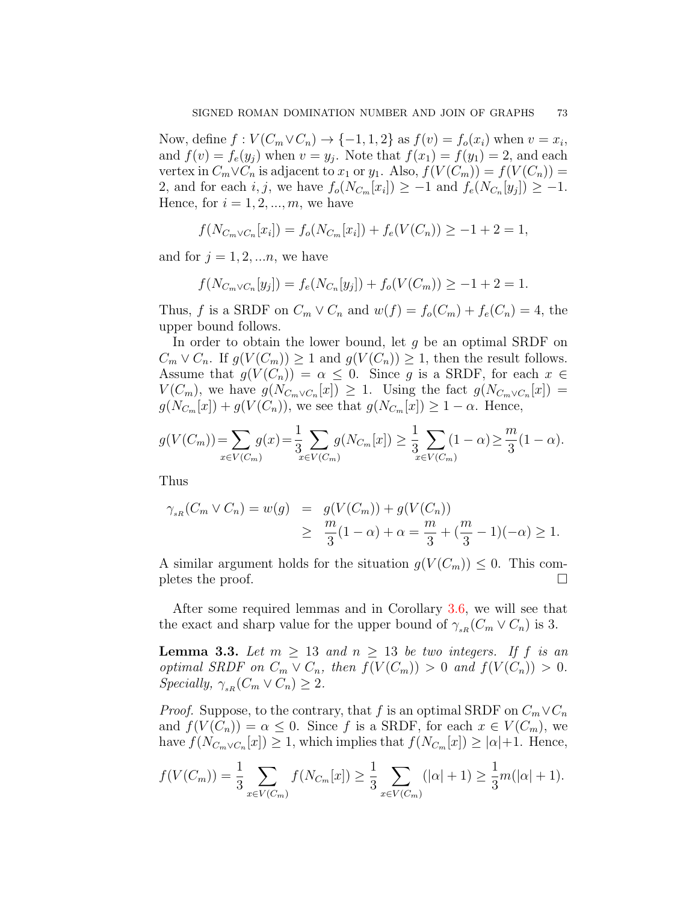Now, define  $f: V(C_m \vee C_n) \to \{-1, 1, 2\}$  as  $f(v) = f_o(x_i)$  when  $v = x_i$ , and  $f(v) = f_e(y_j)$  when  $v = y_j$ . Note that  $f(x_1) = f(y_1) = 2$ , and each vertex in  $C_m \vee C_n$  is adjacent to  $x_1$  or  $y_1$ . Also,  $f(V(C_m)) = f(V(C_n)) =$ 2, and for each *i, j*, we have  $f_o(N_{C_m}[x_i]) \geq -1$  and  $f_e(N_{C_n}[y_j]) \geq -1$ . Hence, for  $i = 1, 2, \ldots, m$ , we have

$$
f(N_{C_m \vee C_n}[x_i]) = f_o(N_{C_m}[x_i]) + f_e(V(C_n)) \ge -1 + 2 = 1,
$$

and for  $j = 1, 2, \ldots n$ , we have

$$
f(N_{C_m \vee C_n}[y_j]) = f_e(N_{C_n}[y_j]) + f_o(V(C_m)) \ge -1 + 2 = 1.
$$

Thus, *f* is a SRDF on  $C_m \vee C_n$  and  $w(f) = f_o(C_m) + f_e(C_n) = 4$ , the upper bound follows.

In order to obtain the lower bound, let *g* be an optimal SRDF on  $C_m \vee C_n$ . If  $g(V(C_m)) \geq 1$  and  $g(V(C_n)) \geq 1$ , then the result follows. Assume that  $g(V(C_n)) = \alpha \leq 0$ . Since *g* is a SRDF, for each  $x \in$  $V(C_m)$ , we have  $g(N_{C_m \vee C_n}[x]) \geq 1$ . Using the fact  $g(N_{C_m \vee C_n}[x]) =$  $g(N_{C_m}[x]) + g(V(C_n))$ , we see that  $g(N_{C_m}[x]) \geq 1 - \alpha$ . Hence,

$$
g(V(C_m)) = \sum_{x \in V(C_m)} g(x) = \frac{1}{3} \sum_{x \in V(C_m)} g(N_{C_m}[x]) \ge \frac{1}{3} \sum_{x \in V(C_m)} (1 - \alpha) \ge \frac{m}{3} (1 - \alpha).
$$

Thus

$$
\gamma_{sR}(C_m \vee C_n) = w(g) = g(V(C_m)) + g(V(C_n))
$$
  
 
$$
\geq \frac{m}{3}(1-\alpha) + \alpha = \frac{m}{3} + (\frac{m}{3} - 1)(-\alpha) \geq 1.
$$

A similar argument holds for the situation  $g(V(C_m)) \leq 0$ . This completes the proof.  $\Box$ 

After some required lemmas and in Corollary [3.6](#page-11-0), we will see that the exact and sharp value for the upper bound of  $\gamma_{sR}(C_m \vee C_n)$  is 3.

<span id="page-8-0"></span>**Lemma 3.3.** Let  $m \geq 13$  and  $n \geq 13$  be two integers. If f is an *optimal SRDF on*  $C_m \vee C_n$ *, then*  $f(V(C_m)) > 0$  *and*  $f(V(C_n)) > 0$ *. Specially,*  $\gamma_{sR}(C_m \vee C_n) \geq 2$ *.* 

*Proof.* Suppose, to the contrary, that *f* is an optimal SRDF on  $C_m \vee C_n$ and  $f(V(C_n)) = \alpha \leq 0$ . Since f is a SRDF, for each  $x \in V(C_m)$ , we have  $f(N_{C_m \vee C_n}[x]) \geq 1$ , which implies that  $f(N_{C_m}[x]) \geq |\alpha|+1$ . Hence,

$$
f(V(C_m)) = \frac{1}{3} \sum_{x \in V(C_m)} f(N_{C_m}[x]) \ge \frac{1}{3} \sum_{x \in V(C_m)} (|\alpha| + 1) \ge \frac{1}{3} m(|\alpha| + 1).
$$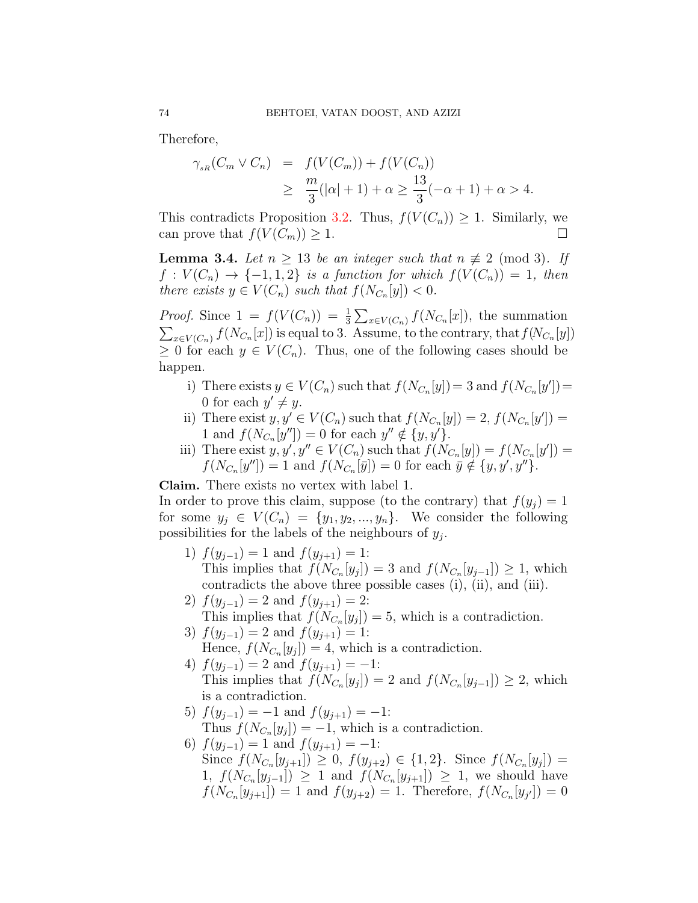Therefore,

$$
\gamma_{sR}(C_m \vee C_n) = f(V(C_m)) + f(V(C_n))
$$
  
 
$$
\geq \frac{m}{3}(|\alpha| + 1) + \alpha \geq \frac{13}{3}(-\alpha + 1) + \alpha > 4.
$$

This contradicts Proposition [3.2](#page-7-0). Thus,  $f(V(C_n)) \geq 1$ . Similarly, we can prove that  $f(V(C_m)) \geq 1$ .

<span id="page-9-0"></span>**Lemma 3.4.** *Let*  $n \geq 13$  *be an integer such that*  $n \not\equiv 2 \pmod{3}$ *. If*  $f: V(C_n) \rightarrow \{-1, 1, 2\}$  *is a function for which*  $f(V(C_n)) = 1$ *, then there exists*  $y \in V(C_n)$  *such that*  $f(N_{C_n}[y]) < 0$ *.* 

*Proof.* Since  $1 = f(V(C_n)) = \frac{1}{3} \sum_{x \in V(C_n)} f(N_{C_n}[x])$ , the summation  $\sum_{x \in V(C_n)} f(N_{C_n}[x])$  is equal to 3. Assume, to the contrary, that  $f(N_{C_n}[y])$ *≥* 0 for each  $y \in V(C_n)$ . Thus, one of the following cases should be happen.

- i) There exists  $y \in V(C_n)$  such that  $f(N_{C_n}[y]) = 3$  and  $f(N_{C_n}[y']) = 3$ 0 for each  $y' \neq y$ .
- ii) There exist  $y, y' \in V(C_n)$  such that  $f(N_{C_n}[y]) = 2, f(N_{C_n}[y']) = 2$ 1 and  $f(N_{C_n}[y'']) = 0$  for each  $y'' \notin \{y, y'\}.$
- iii) There exist  $y, y', y'' \in V(C_n)$  such that  $f(N_{C_n}[y]) = f(N_{C_n}[y']) =$  $f(N_{C_n}[y'']) = 1$  and  $f(N_{C_n}[\bar{y}]) = 0$  for each  $\bar{y} \notin \{y, y', y''\}$ .

**Claim.** There exists no vertex with label 1.

In order to prove this claim, suppose (to the contrary) that  $f(y_i) = 1$ for some  $y_j \in V(C_n) = \{y_1, y_2, ..., y_n\}$ . We consider the following possibilities for the labels of the neighbours of *y<sup>j</sup>* .

- 1)  $f(y_{j-1}) = 1$  and  $f(y_{j+1}) = 1$ : This implies that  $f(N_{C_n}[y_j]) = 3$  and  $f(N_{C_n}[y_{j-1}]) \geq 1$ , which contradicts the above three possible cases (i), (ii), and (iii).
- 2)  $f(y_{j-1}) = 2$  and  $f(y_{j+1}) = 2$ : This implies that  $f(N_{C_n}[y_j]) = 5$ , which is a contradiction.
- 3)  $f(y_{j-1}) = 2$  and  $f(y_{j+1}) = 1$ : Hence,  $f(N_{C_n}[y_j]) = 4$ , which is a contradiction.
- 4)  $f(y_{j-1}) = 2$  and  $f(y_{j+1}) = -1$ : This implies that  $f(N_{C_n}[y_j]) = 2$  and  $f(N_{C_n}[y_{j-1}]) \geq 2$ , which is a contradiction.
- 5)  $f(y_{j-1}) = -1$  and  $f(y_{j+1}) = -1$ : Thus  $f(N_{C_n}[y_j]) = -1$ , which is a contradiction.
- 6)  $f(y_{j-1}) = 1$  and  $f(y_{j+1}) = -1$ : Since  $f(N_{C_n}[y_{j+1}]) \geq 0$ ,  $f(y_{j+2}) \in \{1,2\}$ . Since  $f(N_{C_n}[y_j]) =$ 1,  $f(N_{C_n}[y_{j-1}]) \ge 1$  and  $f(N_{C_n}[y_{j+1}]) \ge 1$ , we should have  $f(N_{C_n}[y_{j+1}]) = 1$  and  $f(y_{j+2}) = 1$ . Therefore,  $f(N_{C_n}[y_{j'}]) = 0$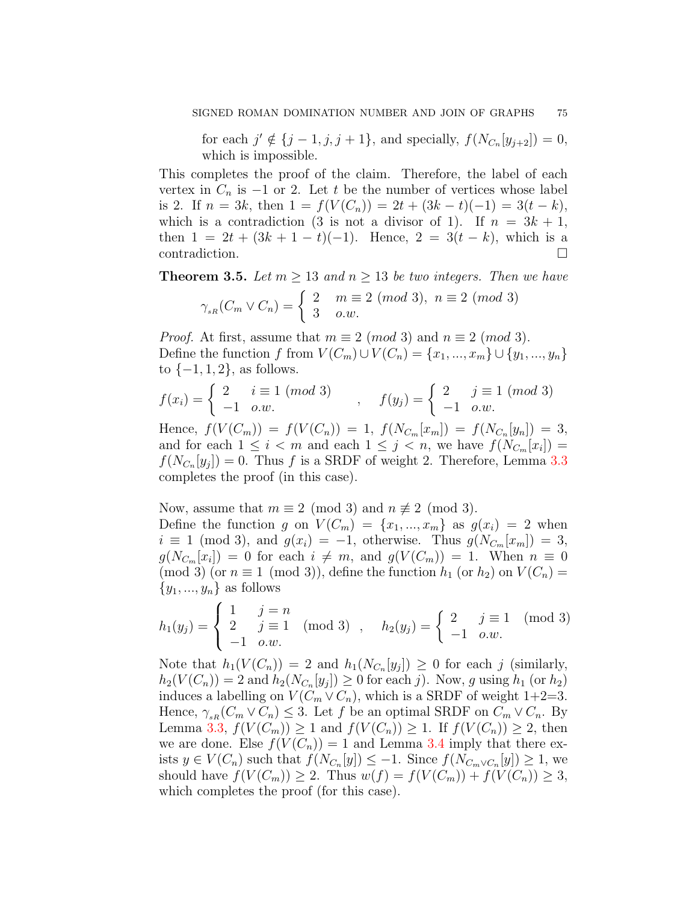for each  $j' \notin \{j-1, j, j+1\}$ , and specially,  $f(N_{C_n}[y_{j+2}]) = 0$ , which is impossible.

This completes the proof of the claim. Therefore, the label of each vertex in  $C_n$  is  $-1$  or 2. Let *t* be the number of vertices whose label is 2. If  $n = 3k$ , then  $1 = f(V(C_n)) = 2t + (3k - t)(-1) = 3(t - k)$ , which is a contradiction (3 is not a divisor of 1). If  $n = 3k + 1$ , then  $1 = 2t + (3k + 1 - t)(-1)$ . Hence,  $2 = 3(t - k)$ , which is a contradiction. □

<span id="page-10-0"></span>**Theorem 3.5.** *Let*  $m \geq 13$  *and*  $n \geq 13$  *be two integers. Then we have* 

$$
\gamma_{_{sR}}(C_m \vee C_n) = \begin{cases} 2 & m \equiv 2 \pmod{3}, \ n \equiv 2 \pmod{3} \\ 3 & o.w. \end{cases}
$$

*Proof.* At first, assume that  $m \equiv 2 \pmod{3}$  and  $n \equiv 2 \pmod{3}$ . Define the function *f* from  $V(C_m) \cup V(C_n) = \{x_1, ..., x_m\} \cup \{y_1, ..., y_n\}$ to *{−*1*,* 1*,* 2*}*, as follows.

$$
f(x_i) = \begin{cases} 2 & i \equiv 1 \pmod{3} \\ -1 & o.w. \end{cases}, \quad f(y_j) = \begin{cases} 2 & j \equiv 1 \pmod{3} \\ -1 & o.w. \end{cases}
$$

Hence,  $f(V(C_m)) = f(V(C_n)) = 1$ ,  $f(N_{C_m}[x_m]) = f(N_{C_n}[y_n]) = 3$ , and for each  $1 \leq i < m$  and each  $1 \leq j < n$ , we have  $f(N_{C_m}[x_i]) =$  $f(N_{C_n}[y_j]) = 0$ . Thus *f* is a SRDF of weight 2. Therefore, Lemma [3.3](#page-8-0) completes the proof (in this case).

Now, assume that  $m \equiv 2 \pmod{3}$  and  $n \not\equiv 2 \pmod{3}$ . Define the function *g* on  $V(C_m) = \{x_1, ..., x_m\}$  as  $g(x_i) = 2$  when  $i \equiv 1 \pmod{3}$ , and  $g(x_i) = -1$ , otherwise. Thus  $g(N_{C_m}[x_m]) = 3$ ,  $g(N_{C_m}[x_i]) = 0$  for each  $i \neq m$ , and  $g(V(C_m)) = 1$ . When  $n \equiv 0$  $(\text{mod } 3)$  (or  $n \equiv 1 \pmod{3}$ ), define the function  $h_1$  (or  $h_2$ ) on  $V(C_n) =$ *{y*1*, ..., yn}* as follows

$$
h_1(y_j) = \begin{cases} 1 & j = n \\ 2 & j \equiv 1 \\ -1 & o.w. \end{cases} \pmod{3} , \quad h_2(y_j) = \begin{cases} 2 & j \equiv 1 \\ -1 & o.w. \end{cases} \pmod{3}
$$

Note that  $h_1(V(C_n)) = 2$  and  $h_1(N_{C_n}[y_j]) \geq 0$  for each *j* (similarly,  $h_2(V(C_n)) = 2$  and  $h_2(N_{C_n}[y_j]) \ge 0$  for each *j*). Now, *g* using  $h_1$  (or  $h_2$ ) induces a labelling on  $V(C_m \vee C_n)$ , which is a SRDF of weight 1+2=3. Hence,  $\gamma_{sR}(C_m \vee C_n) \leq 3$ . Let *f* be an optimal SRDF on  $C_m \vee C_n$ . By Lemma [3.3](#page-8-0), *f*(*V*(*C<sub><i>m*</sub>)</sub>) ≥ 1 and *f*(*V*(*C<sub><i>n*</sub>)</sub>) ≥ 1. If *f*(*V*(*C<sub><i>n*</sub>)) ≥ 2, then we are done. Else  $f(V(C_n)) = 1$  and Lemma [3.4](#page-9-0) imply that there exists  $y \in V(C_n)$  such that  $f(N_{C_n}[y]) \leq -1$ . Since  $f(N_{C_m \vee C_n}[y]) \geq 1$ , we should have  $f(V(C_m)) \geq 2$ . Thus  $w(f) = f(V(C_m)) + f(V(C_n)) \geq 3$ , which completes the proof (for this case).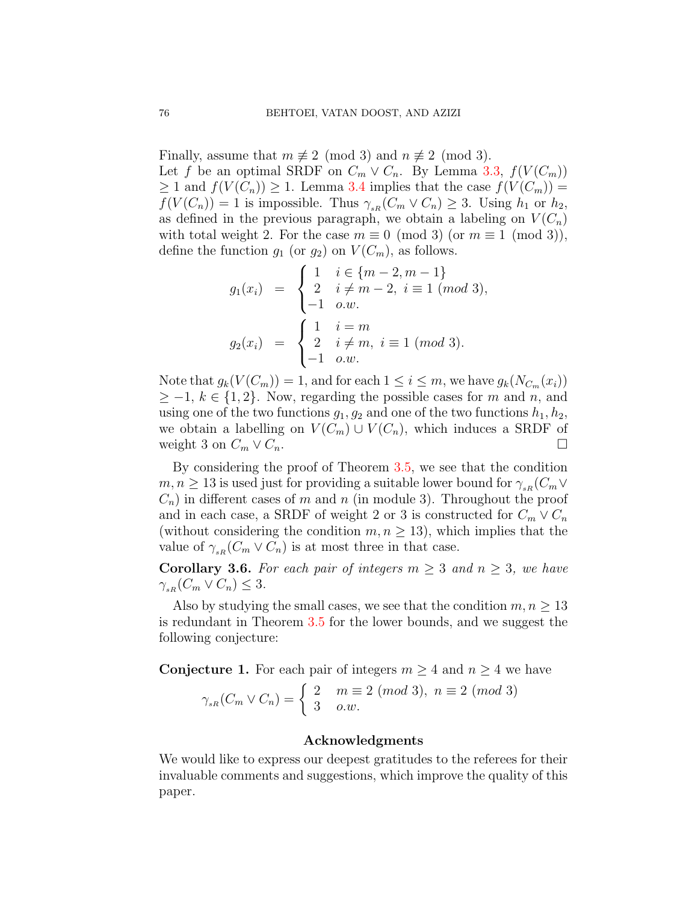Finally, assume that  $m \not\equiv 2 \pmod{3}$  and  $n \not\equiv 2 \pmod{3}$ . Let *f* be an optimal SRDF on  $C_m \vee C_n$ . By Lemma [3.3,](#page-8-0)  $f(V(C_m))$ *≥* 1 and  $f(V(C_n))$  *≥* 1. Lemma [3.4](#page-9-0) implies that the case  $f(V(C_m))$  =  $f(V(C_n)) = 1$  is impossible. Thus  $\gamma_{sR}(C_m \vee C_n) \geq 3$ . Using  $h_1$  or  $h_2$ , as defined in the previous paragraph, we obtain a labeling on  $V(C_n)$ with total weight 2. For the case  $m \equiv 0 \pmod{3}$  (or  $m \equiv 1 \pmod{3}$ ), define the function  $g_1$  (or  $g_2$ ) on  $V(C_m)$ , as follows.

$$
g_1(x_i) = \begin{cases} 1 & i \in \{m-2, m-1\} \\ 2 & i \neq m-2, i \equiv 1 \ (mod \ 3), \\ -1 & o.w. \end{cases}
$$

$$
g_2(x_i) = \begin{cases} 1 & i = m \\ 2 & i \neq m, i \equiv 1 \ (mod \ 3). \\ -1 & o.w. \end{cases}
$$

Note that  $g_k(V(C_m)) = 1$ , and for each  $1 \leq i \leq m$ , we have  $g_k(N_{C_m}(x_i))$ *≥ −*1, *k ∈ {*1*,* 2*}*. Now, regarding the possible cases for *m* and *n*, and using one of the two functions  $g_1, g_2$  and one of the two functions  $h_1, h_2$ , we obtain a labelling on  $V(C_m) \cup V(C_n)$ , which induces a SRDF of weight 3 on  $C_m \vee C_n$ .

By considering the proof of Theorem [3.5,](#page-10-0) we see that the condition  $m, n \geq 13$  is used just for providing a suitable lower bound for  $\gamma_{sR}(C_m \vee C_m)$  $C_n$  in different cases of *m* and *n* (in module 3). Throughout the proof and in each case, a SRDF of weight 2 or 3 is constructed for  $C_m \vee C_n$ (without considering the condition  $m, n \geq 13$ ), which implies that the value of  $\gamma_{sR}$  ( $C_m \vee C_n$ ) is at most three in that case.

<span id="page-11-0"></span>**Corollary 3.6.** *For each pair of integers*  $m \geq 3$  *and*  $n \geq 3$ *, we have*  $\gamma_{sR}$  ( $C_m \vee C_n$ )  $\leq 3$ *.* 

Also by studying the small cases, we see that the condition  $m, n \geq 13$ is redundant in Theorem [3.5](#page-10-0) for the lower bounds, and we suggest the following conjecture:

**Conjecture 1.** For each pair of integers  $m \geq 4$  and  $n \geq 4$  we have

$$
\gamma_{sR}(C_m \vee C_n) = \begin{cases} 2 & m \equiv 2 \pmod{3}, \ n \equiv 2 \pmod{3} \\ 3 & o.w. \end{cases}
$$

## **Acknowledgments**

We would like to express our deepest gratitudes to the referees for their invaluable comments and suggestions, which improve the quality of this paper.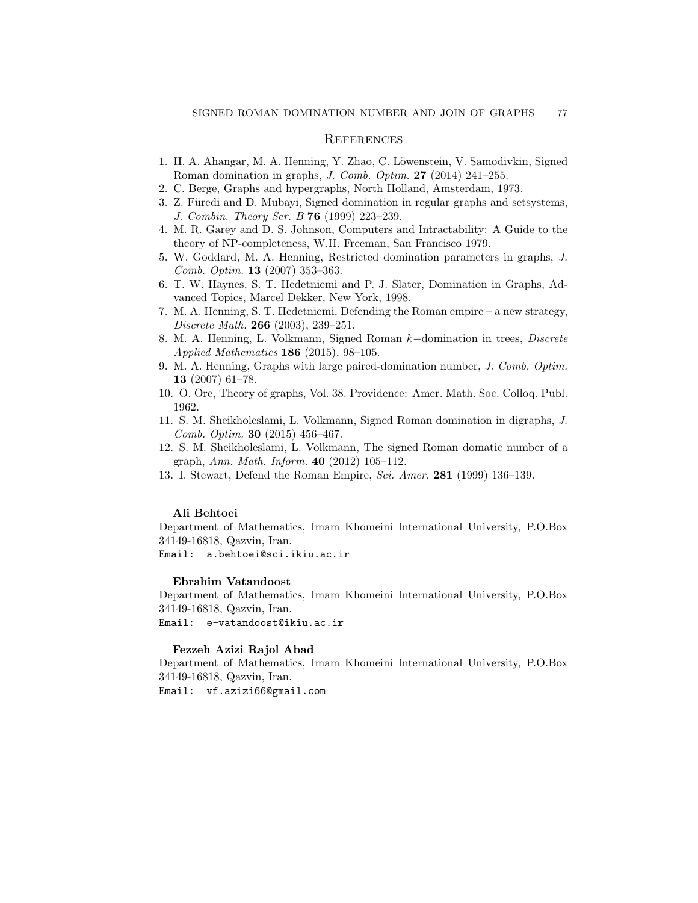## **REFERENCES**

- <span id="page-12-7"></span>1. H. A. Ahangar, M. A. Henning, Y. Zhao, C. Löwenstein, V. Samodivkin, Signed Roman domination in graphs, *J. Comb. Optim.* **27** (2014) 241–255.
- <span id="page-12-1"></span>2. C. Berge, Graphs and hypergraphs, North Holland, Amsterdam, 1973.
- <span id="page-12-4"></span>3. Z. Füredi and D. Mubayi, Signed domination in regular graphs and setsystems, *J. Combin. Theory Ser. B* **76** (1999) 223–239.
- <span id="page-12-3"></span>4. M. R. Garey and D. S. Johnson, Computers and Intractability: A Guide to the theory of NP-completeness, W.H. Freeman, San Francisco 1979.
- <span id="page-12-5"></span>5. W. Goddard, M. A. Henning, Restricted domination parameters in graphs, *J. Comb. Optim.* **13** (2007) 353–363.
- <span id="page-12-0"></span>6. T. W. Haynes, S. T. Hedetniemi and P. J. Slater, Domination in Graphs, Advanced Topics, Marcel Dekker, New York, 1998.
- <span id="page-12-8"></span>7. M. A. Henning, S. T. Hedetniemi, Defending the Roman empire – a new strategy, *Discrete Math.* **266** (2003), 239–251.
- <span id="page-12-10"></span>8. M. A. Henning, L. Volkmann, Signed Roman *k−*domination in trees, *Discrete Applied Mathematics* **186** (2015), 98–105.
- <span id="page-12-6"></span>9. M. A. Henning, Graphs with large paired-domination number, *J. Comb. Optim.* **13** (2007) 61–78.
- <span id="page-12-2"></span>10. O. Ore, Theory of graphs, Vol. 38. Providence: Amer. Math. Soc. Colloq. Publ. 1962.
- <span id="page-12-11"></span>11. S. M. Sheikholeslami, L. Volkmann, Signed Roman domination in digraphs, *J. Comb. Optim.* **30** (2015) 456–467.
- 12. S. M. Sheikholeslami, L. Volkmann, The signed Roman domatic number of a graph, *Ann. Math. Inform.* **40** (2012) 105–112.
- <span id="page-12-9"></span>13. I. Stewart, Defend the Roman Empire, *Sci. Amer.* **281** (1999) 136–139.

#### **Ali Behtoei**

Department of Mathematics, Imam Khomeini International University, P.O.Box 34149-16818, Qazvin, Iran.

Email: a.behtoei@sci.ikiu.ac.ir

#### **Ebrahim Vatandoost**

Department of Mathematics, Imam Khomeini International University, P.O.Box 34149-16818, Qazvin, Iran.

Email: e-vatandoost@ikiu.ac.ir

#### **Fezzeh Azizi Rajol Abad**

Department of Mathematics, Imam Khomeini International University, P.O.Box 34149-16818, Qazvin, Iran.

Email: vf.azizi66@gmail.com